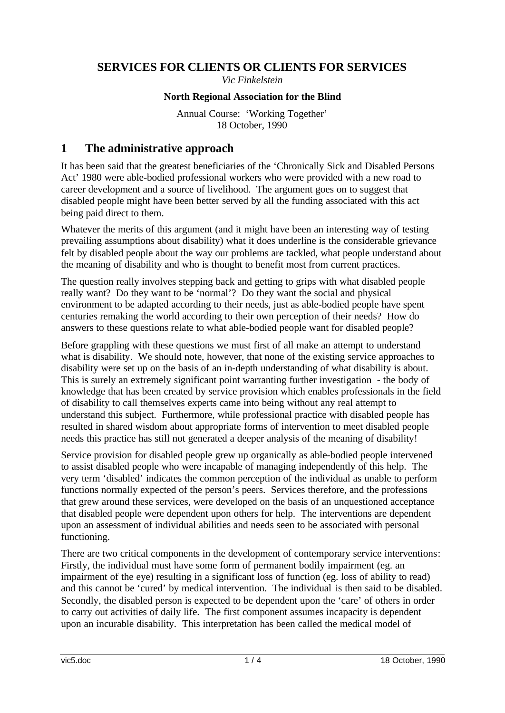### **SERVICES FOR CLIENTS OR CLIENTS FOR SERVICES**

*Vic Finkelstein* 

### **North Regional Association for the Blind**

Annual Course: 'Working Together' 18 October, 1990

## **1 The administrative approach**

It has been said that the greatest beneficiaries of the 'Chronically Sick and Disabled Persons Act' 1980 were able-bodied professional workers who were provided with a new road to career development and a source of livelihood. The argument goes on to suggest that disabled people might have been better served by all the funding associated with this act being paid direct to them.

Whatever the merits of this argument (and it might have been an interesting way of testing prevailing assumptions about disability) what it does underline is the considerable grievance felt by disabled people about the way our problems are tackled, what people understand about the meaning of disability and who is thought to benefit most from current practices.

The question really involves stepping back and getting to grips with what disabled people really want? Do they want to be 'normal'? Do they want the social and physical environment to be adapted according to their needs, just as able-bodied people have spent centuries remaking the world according to their own perception of their needs? How do answers to these questions relate to what able-bodied people want for disabled people?

Before grappling with these questions we must first of all make an attempt to understand what is disability. We should note, however, that none of the existing service approaches to disability were set up on the basis of an in-depth understanding of what disability is about. This is surely an extremely significant point warranting further investigation - the body of knowledge that has been created by service provision which enables professionals in the field of disability to call themselves experts came into being without any real attempt to understand this subject. Furthermore, while professional practice with disabled people has resulted in shared wisdom about appropriate forms of intervention to meet disabled people needs this practice has still not generated a deeper analysis of the meaning of disability!

Service provision for disabled people grew up organically as able-bodied people intervened to assist disabled people who were incapable of managing independently of this help. The very term 'disabled' indicates the common perception of the individual as unable to perform functions normally expected of the person's peers. Services therefore, and the professions that grew around these services, were developed on the basis of an unquestioned acceptance that disabled people were dependent upon others for help. The interventions are dependent upon an assessment of individual abilities and needs seen to be associated with personal functioning.

There are two critical components in the development of contemporary service interventions: Firstly, the individual must have some form of permanent bodily impairment (eg. an impairment of the eye) resulting in a significant loss of function (eg. loss of ability to read) and this cannot be 'cured' by medical intervention. The individual is then said to be disabled. Secondly, the disabled person is expected to be dependent upon the 'care' of others in order to carry out activities of daily life. The first component assumes incapacity is dependent upon an incurable disability. This interpretation has been called the medical model of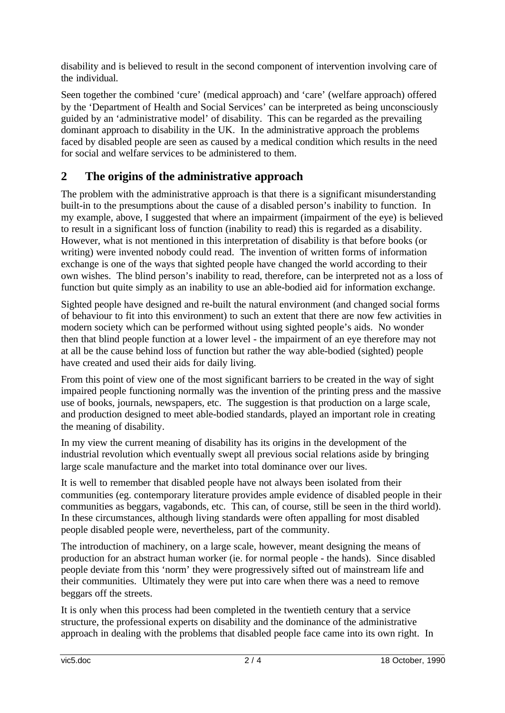disability and is believed to result in the second component of intervention involving care of the individual.

Seen together the combined 'cure' (medical approach) and 'care' (welfare approach) offered by the 'Department of Health and Social Services' can be interpreted as being unconsciously guided by an 'administrative model' of disability. This can be regarded as the prevailing dominant approach to disability in the UK. In the administrative approach the problems faced by disabled people are seen as caused by a medical condition which results in the need for social and welfare services to be administered to them.

#### **The origins of the administrative approach 2**

The problem with the administrative approach is that there is a significant misunderstanding built-in to the presumptions about the cause of a disabled person's inability to function. In my example, above, I suggested that where an impairment (impairment of the eye) is believed to result in a significant loss of function (inability to read) this is regarded as a disability. However, what is not mentioned in this interpretation of disability is that before books (or writing) were invented nobody could read. The invention of written forms of information exchange is one of the ways that sighted people have changed the world according to their own wishes. The blind person's inability to read, therefore, can be interpreted not as a loss of function but quite simply as an inability to use an able-bodied aid for information exchange.

Sighted people have designed and re-built the natural environment (and changed social forms of behaviour to fit into this environment) to such an extent that there are now few activities in modern society which can be performed without using sighted people's aids. No wonder then that blind people function at a lower level - the impairment of an eye therefore may not at all be the cause behind loss of function but rather the way able-bodied (sighted) people have created and used their aids for daily living.

From this point of view one of the most significant barriers to be created in the way of sight impaired people functioning normally was the invention of the printing press and the massive use of books, journals, newspapers, etc. The suggestion is that production on a large scale, and production designed to meet able-bodied standards, played an important role in creating the meaning of disability.

In my view the current meaning of disability has its origins in the development of the industrial revolution which eventually swept all previous social relations aside by bringing large scale manufacture and the market into total dominance over our lives.

It is well to remember that disabled people have not always been isolated from their communities (eg. contemporary literature provides ample evidence of disabled people in their communities as beggars, vagabonds, etc. This can, of course, still be seen in the third world). In these circumstances, although living standards were often appalling for most disabled people disabled people were, nevertheless, part of the community.

The introduction of machinery, on a large scale, however, meant designing the means of production for an abstract human worker (ie. for normal people - the hands). Since disabled people deviate from this 'norm' they were progressively sifted out of mainstream life and their communities. Ultimately they were put into care when there was a need to remove beggars off the streets.

It is only when this process had been completed in the twentieth century that a service structure, the professional experts on disability and the dominance of the administrative approach in dealing with the problems that disabled people face came into its own right. In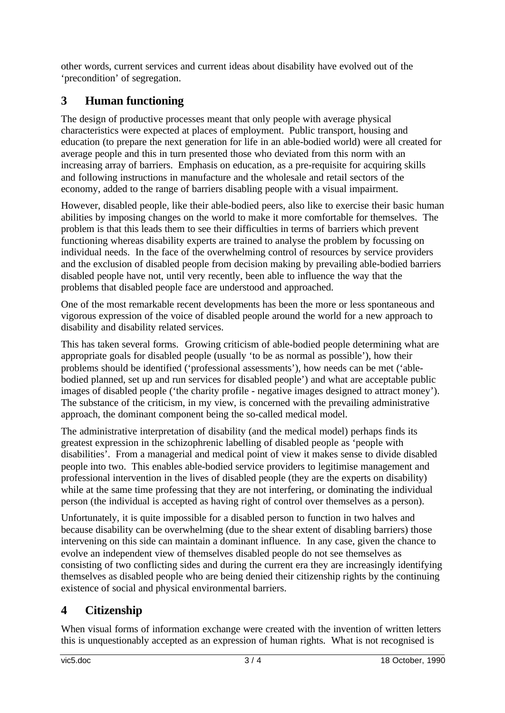other words, current services and current ideas about disability have evolved out of the 'precondition' of segregation.

# **3 Human functioning**

The design of productive processes meant that only people with average physical characteristics were expected at places of employment. Public transport, housing and education (to prepare the next generation for life in an able-bodied world) were all created for average people and this in turn presented those who deviated from this norm with an increasing array of barriers. Emphasis on education, as a pre-requisite for acquiring skills and following instructions in manufacture and the wholesale and retail sectors of the economy, added to the range of barriers disabling people with a visual impairment.

However, disabled people, like their able-bodied peers, also like to exercise their basic human abilities by imposing changes on the world to make it more comfortable for themselves. The problem is that this leads them to see their difficulties in terms of barriers which prevent functioning whereas disability experts are trained to analyse the problem by focussing on individual needs. In the face of the overwhelming control of resources by service providers and the exclusion of disabled people from decision making by prevailing able-bodied barriers disabled people have not, until very recently, been able to influence the way that the problems that disabled people face are understood and approached.

One of the most remarkable recent developments has been the more or less spontaneous and vigorous expression of the voice of disabled people around the world for a new approach to disability and disability related services.

This has taken several forms. Growing criticism of able-bodied people determining what are appropriate goals for disabled people (usually 'to be as normal as possible'), how their problems should be identified ('professional assessments'), how needs can be met ('ablebodied planned, set up and run services for disabled people') and what are acceptable public images of disabled people ('the charity profile - negative images designed to attract money'). The substance of the criticism, in my view, is concerned with the prevailing administrative approach, the dominant component being the so-called medical model.

The administrative interpretation of disability (and the medical model) perhaps finds its greatest expression in the schizophrenic labelling of disabled people as 'people with disabilities'. From a managerial and medical point of view it makes sense to divide disabled people into two. This enables able-bodied service providers to legitimise management and professional intervention in the lives of disabled people (they are the experts on disability) while at the same time professing that they are not interfering, or dominating the individual person (the individual is accepted as having right of control over themselves as a person).

Unfortunately, it is quite impossible for a disabled person to function in two halves and because disability can be overwhelming (due to the shear extent of disabling barriers) those intervening on this side can maintain a dominant influence. In any case, given the chance to evolve an independent view of themselves disabled people do not see themselves as consisting of two conflicting sides and during the current era they are increasingly identifying themselves as disabled people who are being denied their citizenship rights by the continuing existence of social and physical environmental barriers.

# **4 Citizenship**

When visual forms of information exchange were created with the invention of written letters this is unquestionably accepted as an expression of human rights. What is not recognised is